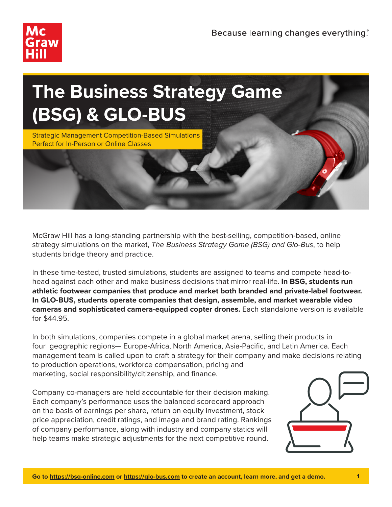



McGraw Hill has a long-standing partnership with the best-selling, competition-based, online strategy simulations on the market, *The Business Strategy Game (BSG) and Glo-Bus*, to help students bridge theory and practice.

In these time-tested, trusted simulations, students are assigned to teams and compete head-tohead against each other and make business decisions that mirror real-life. **In BSG, students run athletic footwear companies that produce and market both branded and private-label footwear. In GLO-BUS, students operate companies that design, assemble, and market wearable video cameras and sophisticated camera-equipped copter drones.** Each standalone version is available for \$44.95.

In both simulations, companies compete in a global market arena, selling their products in four geographic regions— Europe-Africa, North America, Asia-Pacific, and Latin America. Each management team is called upon to craft a strategy for their company and make decisions relating to production operations, workforce compensation, pricing and marketing, social responsibility/citizenship, and finance.

Company co-managers are held accountable for their decision making. Each company's performance uses the balanced scorecard approach on the basis of earnings per share, return on equity investment, stock price appreciation, credit ratings, and image and brand rating. Rankings of company performance, along with industry and company statics will help teams make strategic adjustments for the next competitive round.

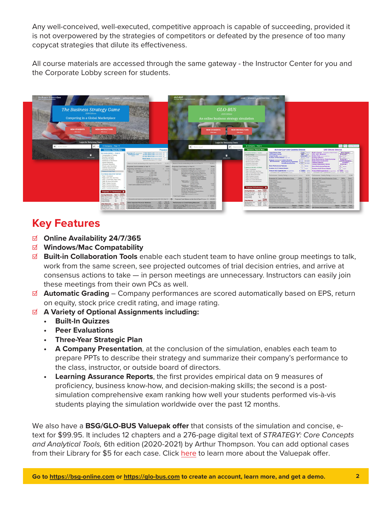Any well-conceived, well-executed, competitive approach is capable of succeeding, provided it is not overpowered by the strategies of competitors or defeated by the presence of too many copycat strategies that dilute its effectiveness.

All course materials are accessed through the same gateway - the Instructor Center for you and the Corporate Lobby screen for students.



## **Key Features**

- ☑ **Online Availability 24/7/365**
- ☑ **Windows/Mac Compatability**
- ☑ **Built-in Collaboration Tools** enable each student team to have online group meetings to talk, work from the same screen, see projected outcomes of trial decision entries, and arrive at consensus actions to take — in person meetings are unnecessary. Instructors can easily join these meetings from their own PCs as well.
- ☑ **Automatic Grading** Company performances are scored automatically based on EPS, return on equity, stock price credit rating, and image rating.
- ☑ **A Variety of Optional Assignments including:**
	- **• Built-In Quizzes**
	- **• Peer Evaluations**
	- **• Three-Year Strategic Plan**
	- **• A Company Presentation**, at the conclusion of the simulation, enables each team to prepare PPTs to describe their strategy and summarize their company's performance to the class, instructor, or outside board of directors.
	- **• Learning Assurance Reports**, the first provides empirical data on 9 measures of proficiency, business know-how, and decision-making skills; the second is a postsimulation comprehensive exam ranking how well your students performed vis-à-vis students playing the simulation worldwide over the past 12 months.

We also have a **BSG/GLO-BUS Valuepak offer** that consists of the simulation and concise, etext for \$99.95. It includes 12 chapters and a 276-page digital text of *STRATEGY: Core Concepts and Analytical Tools,* 6th edition (2020-2021) by Arthur Thompson. You can add optional cases from their Library for \$5 for each case. Click [here](https://www.mheducation.com/highered/highered/discipline-detail/management/simulations.html) to learn more about the Valuepak offer.